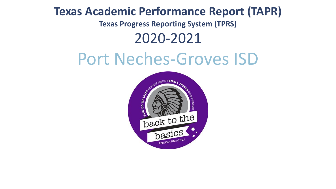# **Texas Academic Performance Report (TAPR)**

**Texas Progress Reporting System (TPRS)**

## 2020-2021

# Port Neches-Groves ISD

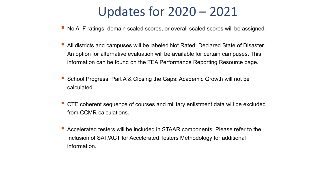# Updates for 2020 – 2021

- No A–F ratings, domain scaled scores, or overall scaled scores will be assigned.
- All districts and campuses will be labeled Not Rated: Declared State of Disaster. An option for alternative evaluation will be available for certain campuses. This information can be found on the TEA Performance Reporting Resource page.
- School Progress, Part A & Closing the Gaps: Academic Growth will not be calculated.
- CTE coherent sequence of courses and military enlistment data will be excluded from CCMR calculations.
- Accelerated testers will be included in STAAR components. Please refer to the Inclusion of SAT/ACT for Accelerated Testers Methodology for additional information.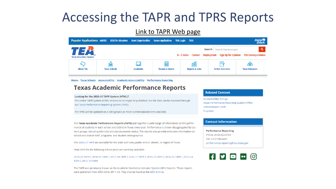# Accessing the TAPR and TPRS Reports

#### [Link to TAPR Web page](https://tea.texas.gov/texas-schools/accountability/academic-accountability/performance-reporting/texas-academic-performance-reports)



Home / Texas Schools / Accountability / Academic Accountability / Performance Reporting

#### **Texas Academic Performance Reports**

#### Looking for the 2020-21 TAPR System (HTML)?

The online TAPR System (HTML version) is no longer be published, but the data can be accessed through our Texas Performance Reporting System (TPRS).

The TPRS will be updated on a rolling basis as more current data become available.

The Texas Academic Performance Reports (TAPR) pull together a wide range of information on the performance of students in each school and district in Texas every year. Performance is shown disaggregated by student groups, including ethnicity and socioeconomic status. The reports also provide extensive information on school and district staff, programs, and student demographics.

The 2020-21 TAPR are available for the state and every public school, district, or region of Texas.

Final TAPR for the following school years are currently available:

2019-20 TAPR | 2018-19 TAPR | 2017-18 TAPR | 2016-17 TAPR | 2015-16 TAPR | 2014-15 TAPR | 2013-14 TAPR | 2012-13 TAPR

The TAPR was previously known as the Academic Excellence Indicator System (AEIS) Reports. Those reports were published from 2003-04 to 2011-12. They may be found at the AEIS Archive.

#### **Related Content**

**Accountability Ratings** Texas Performance Reporting System (TPRS) **School Report Cards** Snapshot

#### **Contact Information**

**Performance Reporting** Phone: (512) 463-9704 Fax: (512) 936-6431 performance.reporting@tea.texas.gov

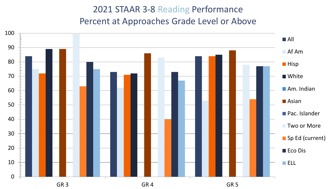### 2021 STAAR 3-8 Reading Performance Percent at Approaches Grade Level or Above

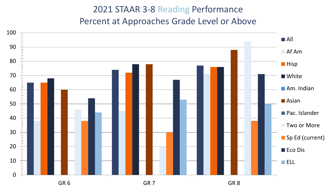#### 2021 STAAR 3-8 Reading Performance Percent at Approaches Grade Level or Above

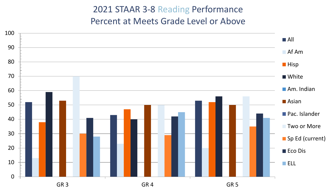#### 2021 STAAR 3-8 Reading Performance Percent at Meets Grade Level or Above

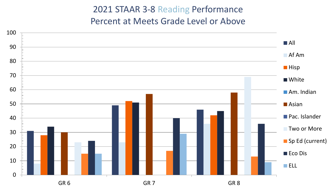#### 2021 STAAR 3-8 Reading Performance Percent at Meets Grade Level or Above

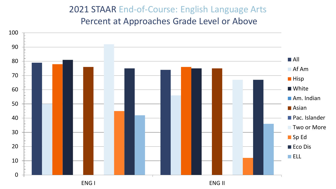#### 2021 STAAR End-of-Course: English Language Arts Percent at Approaches Grade Level or Above

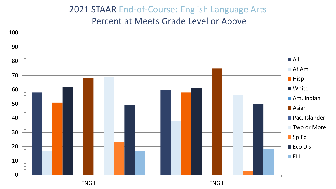#### 2021 STAAR End-of-Course: English Language Arts

Percent at Meets Grade Level or Above

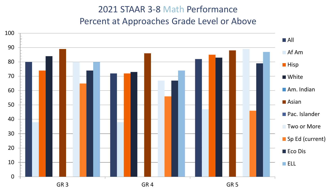### 2021 STAAR 3-8 Math Performance Percent at Approaches Grade Level or Above

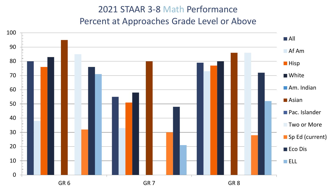### 2021 STAAR 3-8 Math Performance Percent at Approaches Grade Level or Above

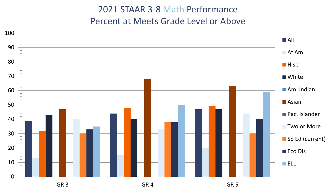#### 2021 STAAR 3-8 Math Performance Percent at Meets Grade Level or Above

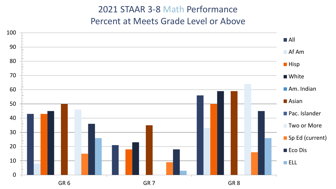### 2021 STAAR 3-8 Math Performance Percent at Meets Grade Level or Above

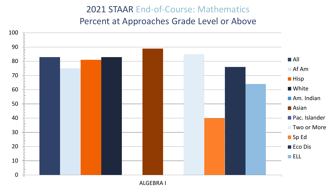#### 2021 STAAR End-of-Course: Mathematics Percent at Approaches Grade Level or Above



ALGEBRA I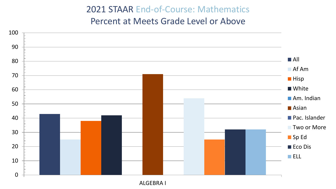#### 2021 STAAR End-of-Course: Mathematics

Percent at Meets Grade Level or Above



ALGEBRA I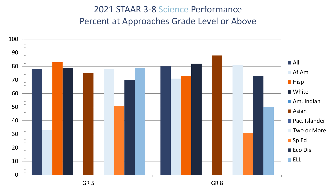### 2021 STAAR 3-8 Science Performance Percent at Approaches Grade Level or Above

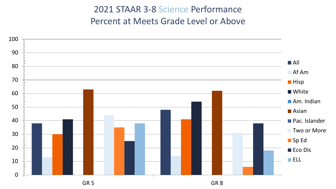### 2021 STAAR 3-8 Science Performance Percent at Meets Grade Level or Above

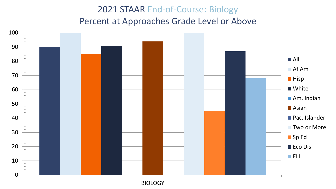#### 2021 STAAR End-of-Course: Biology Percent at Approaches Grade Level or Above

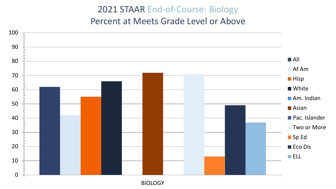#### 2021 STAAR End-of-Course: Biology

Percent at Meets Grade Level or Above



BIOLOGY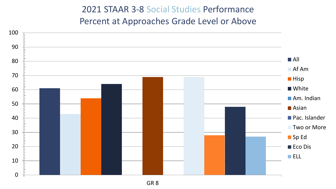#### 2021 STAAR 3-8 Social Studies Performance Percent at Approaches Grade Level or Above

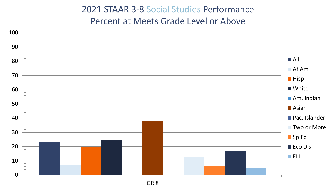### 2021 STAAR 3-8 Social Studies Performance Percent at Meets Grade Level or Above

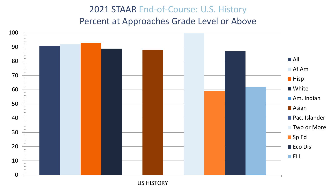### 2021 STAAR End-of-Course: U.S. History Percent at Approaches Grade Level or Above



US HISTORY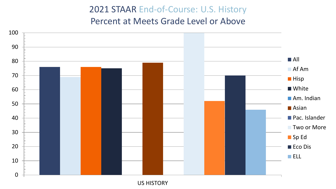2021 STAAR End-of-Course: U.S. History

Percent at Meets Grade Level or Above



US HISTORY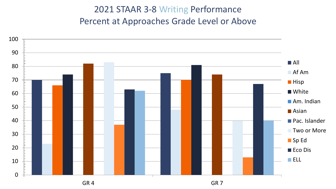#### 2021 STAAR 3-8 Writing Performance Percent at Approaches Grade Level or Above

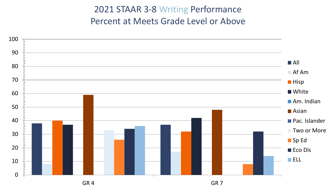### 2021 STAAR 3-8 Writing Performance Percent at Meets Grade Level or Above

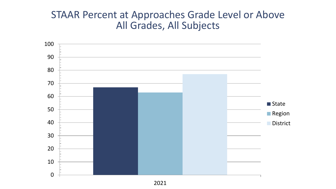### STAAR Percent at Approaches Grade Level or Above All Grades, All Subjects

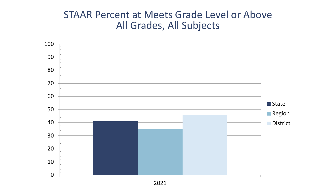### STAAR Percent at Meets Grade Level or Above All Grades, All Subjects

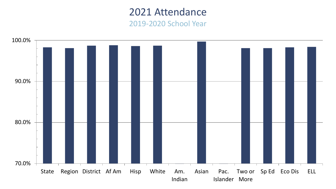#### 2021 Attendance 2019-2020 School Year

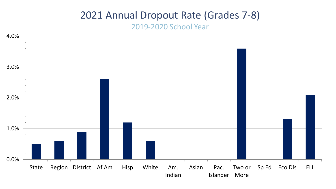### 2021 Annual Dropout Rate (Grades 7-8)

#### 2019-2020 School Year

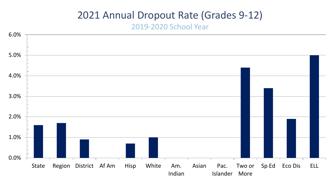### 2021 Annual Dropout Rate (Grades 9-12)

#### 2019-2020 School Year

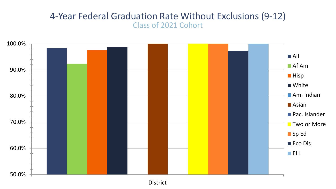#### 4-Year Federal Graduation Rate Without Exclusions (9-12) Class of 2021 Cohort



District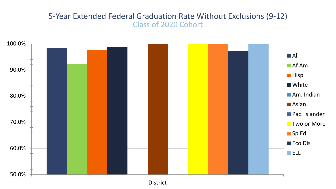#### 5-Year Extended Federal Graduation Rate Without Exclusions (9-12) Class of 2020 Cohort



District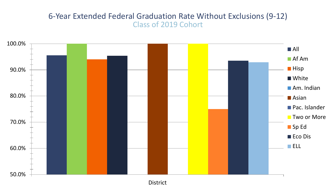#### 6-Year Extended Federal Graduation Rate Without Exclusions (9-12) Class of 2019 Cohort



District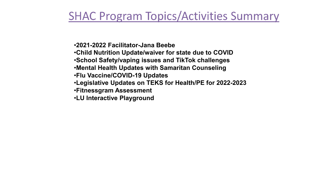## **SHAC Program Topics/Activities Summary**

•**2021-2022 Facilitator-Jana Beebe** •**Child Nutrition Update/waiver for state due to COVID** •**School Safety/vaping issues and TikTok challenges** •**Mental Health Updates with Samaritan Counseling** •**Flu Vaccine/COVID-19 Updates** •**Legislative Updates on TEKS for Health/PE for 2022-2023** •**Fitnessgram Assessment** •**LU Interactive Playground**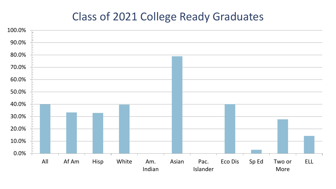### Class of 2021 College Ready Graduates

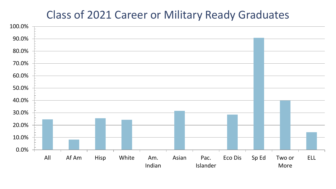## Class of 2021 Career or Military Ready Graduates

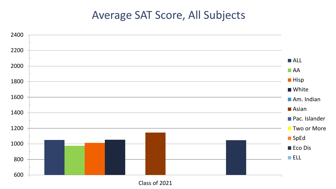### Average SAT Score, All Subjects



Class of 2021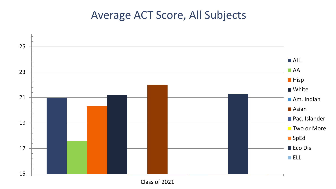## Average ACT Score, All Subjects



Class of 2021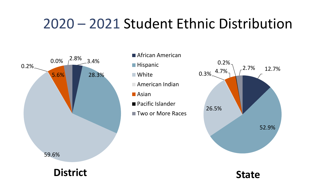# 2020 – 2021 Student Ethnic Distribution



- **African American**
- **Hispanic**
- **Nhite**
- American Indian
- Asian
- Pacific Islander
- **Two or More Races**



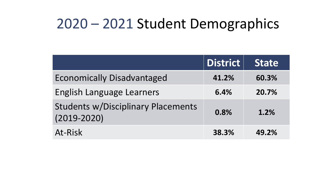# 2020 – 2021 Student Demographics

|                                                              | <b>District</b> | <b>State</b> |
|--------------------------------------------------------------|-----------------|--------------|
| <b>Economically Disadvantaged</b>                            | 41.2%           | 60.3%        |
| <b>English Language Learners</b>                             | 6.4%            | 20.7%        |
| <b>Students w/Disciplinary Placements</b><br>$(2019 - 2020)$ | 0.8%            | 1.2%         |
| At-Risk                                                      | 38.3%           | 49.2%        |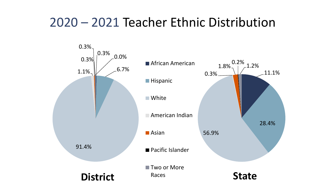# 2020 – 2021 Teacher Ethnic Distribution

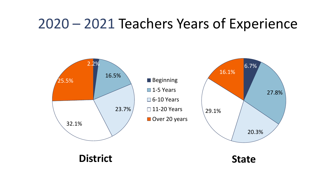# 2020 – 2021 Teachers Years of Experience

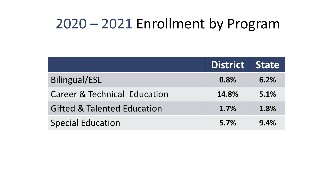# 2020 – 2021 Enrollment by Program

|                                         | District   State |      |
|-----------------------------------------|------------------|------|
| <b>Bilingual/ESL</b>                    | 0.8%             | 6.2% |
| <b>Career &amp; Technical Education</b> | 14.8%            | 5.1% |
| <b>Gifted &amp; Talented Education</b>  | 1.7%             | 1.8% |
| <b>Special Education</b>                | 5.7%             | 9.4% |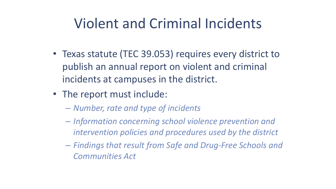# Violent and Criminal Incidents

- Texas statute (TEC 39.053) requires every district to publish an annual report on violent and criminal incidents at campuses in the district.
- The report must include:
	- *Number, rate and type of incidents*
	- *Information concerning school violence prevention and intervention policies and procedures used by the district*
	- *Findings that result from Safe and Drug-Free Schools and Communities Act*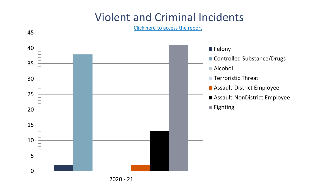## Violent and Criminal Incidents

[Click here to access the report](https://rptsvr1.tea.texas.gov/adhocrpt/Disciplinary_Data_Products/Download_District_Summaries.html)



2020 - 21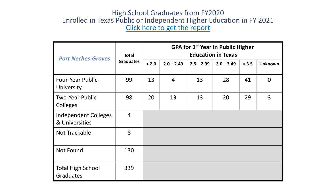#### High School Graduates from FY2020 Enrolled in Texas Public or Independent Higher Education in FY 2021 [Click here to get the report](http://www.txhighereddata.org/index.cfm?objectid=5BFD5120-D971-11E8-BB650050560100A9)

| <b>Port Neches-Groves</b>                     | <b>Total</b><br><b>Graduates</b> | GPA for 1 <sup>st</sup> Year in Public Higher<br><b>Education in Texas</b> |                |              |              |       |                |
|-----------------------------------------------|----------------------------------|----------------------------------------------------------------------------|----------------|--------------|--------------|-------|----------------|
|                                               |                                  | < 2.0                                                                      | $2.0 - 2.49$   | $2.5 - 2.99$ | $3.0 - 3.49$ | > 3.5 | <b>Unknown</b> |
| <b>Four-Year Public</b><br>University         | 99                               | 13                                                                         | $\overline{4}$ | 13           | 28           | 41    | $\overline{0}$ |
| <b>Two-Year Public</b><br>Colleges            | 98                               | 20                                                                         | 13             | 13           | 20           | 29    | 3              |
| <b>Independent Colleges</b><br>& Universities | $\overline{4}$                   |                                                                            |                |              |              |       |                |
| Not Trackable                                 | 8                                |                                                                            |                |              |              |       |                |
| <b>Not Found</b>                              | 130                              |                                                                            |                |              |              |       |                |
| <b>Total High School</b><br>Graduates         | 339                              |                                                                            |                |              |              |       |                |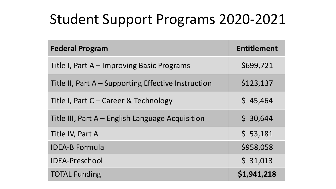# Student Support Programs 2020-2021

| <b>Federal Program</b>                              | <b>Entitlement</b> |
|-----------------------------------------------------|--------------------|
| Title I, Part A – Improving Basic Programs          | \$699,721          |
| Title II, Part A - Supporting Effective Instruction | \$123,137          |
| Title I, Part C – Career & Technology               | \$45,464           |
| Title III, Part A – English Language Acquisition    | \$30,644           |
| Title IV, Part A                                    | \$53,181           |
| <b>IDEA-B Formula</b>                               | \$958,058          |
| <b>IDEA-Preschool</b>                               | \$31,013           |
| <b>TOTAL Funding</b>                                | \$1,941,218        |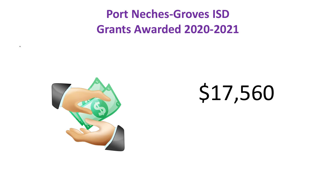# **Port Neches-Groves ISD Grants Awarded 2020-2021**



\*

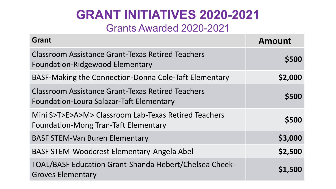### **GRANT INITIATIVES 2020-2021** Grants Awarded 2020-2021

| Grant                                                                                                       | <b>Amount</b> |
|-------------------------------------------------------------------------------------------------------------|---------------|
| <b>Classroom Assistance Grant-Texas Retired Teachers</b><br><b>Foundation-Ridgewood Elementary</b>          | \$500         |
| BASF-Making the Connection-Donna Cole-Taft Elementary                                                       | \$2,000       |
| <b>Classroom Assistance Grant-Texas Retired Teachers</b><br><b>Foundation-Loura Salazar-Taft Elementary</b> | \$500         |
| Mini S>T>E>A>M> Classroom Lab-Texas Retired Teachers<br><b>Foundation-Mong Tran-Taft Elementary</b>         | \$500         |
| <b>BASF STEM-Van Buren Elementary</b>                                                                       | \$3,000       |
| <b>BASF STEM-Woodcrest Elementary-Angela Abel</b>                                                           | \$2,500       |
| <b>TOAL/BASF Education Grant-Shanda Hebert/Chelsea Cheek-</b><br><b>Groves Elementary</b>                   | \$1,500       |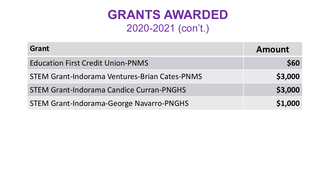# **GRANTS AWARDED** 2020-2021 (con't.)

| Grant                                                | <b>Amount</b> |
|------------------------------------------------------|---------------|
| <b>Education First Credit Union-PNMS</b>             | \$60          |
| <b>STEM Grant-Indorama Ventures-Brian Cates-PNMS</b> | \$3,000       |
| <b>STEM Grant-Indorama Candice Curran-PNGHS</b>      | \$3,000       |
| <b>STEM Grant-Indorama-George Navarro-PNGHS</b>      | \$1,000       |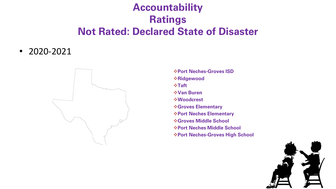### **Accountability Ratings Not Rated: Declared State of Disaster**

• 2020-2021



**Port Neches-Groves ISD Ridgewood Taft Van Buren Woodcrest Groves Elementary Port Neches Elementary Groves Middle School Port Neches Middle School Port Neches-Groves High School** 

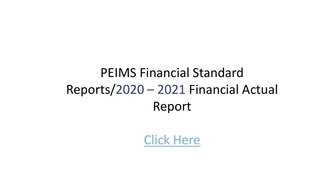# PEIMS Financial Standard Reports/2020 – 2021 Financial Actual Report

[Click Here](https://rptsvr1.tea.texas.gov/cgi/sas/broker?_service=marykay&_program=sfadhoc.budget_report_2021.sas&_service=appserv&_debug=0&who_box=&who_list=123908)